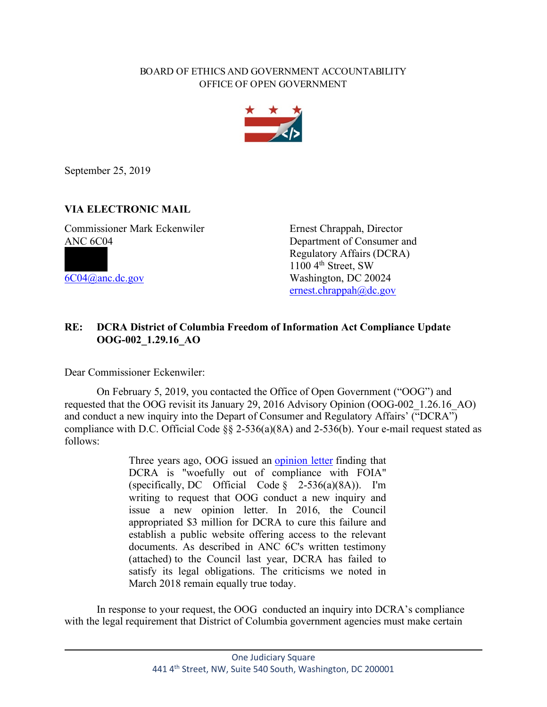## BOARD OF ETHICS AND GOVERNMENT ACCOUNTABILITY OFFICE OF OPEN GOVERNMENT



September 25, 2019

## **VIA ELECTRONIC MAIL**

Commissioner Mark Eckenwiler Ernest Chrappah, Director ANC 6C04 Department of Consumer and

Regulatory Affairs (DCRA)  $\frac{1100 \, 4^{\text{th}} \, \text{Street}}{6004 \, \text{d} \cdot \text{anc} \cdot \text{dc}}$  and  $\frac{1100 \, 4^{\text{th}} \, \text{Street}}{8000 \, \text{d} \cdot \text{m}}$ Washington, DC 20024 ernest.chrappah@dc.gov

## **RE: DCRA District of Columbia Freedom of Information Act Compliance Update OOG-002\_1.29.16\_AO**

Dear Commissioner Eckenwiler:

On February 5, 2019, you contacted the Office of Open Government ("OOG") and requested that the OOG revisit its January 29, 2016 Advisory Opinion (OOG-002\_1.26.16\_AO) and conduct a new inquiry into the Depart of Consumer and Regulatory Affairs' ("DCRA") compliance with D.C. Official Code §§ 2-536(a)(8A) and 2-536(b). Your e-mail request stated as follows:

> Three years ago, OOG issued an opinion letter finding that DCRA is "woefully out of compliance with FOIA" (specifically, DC Official Code § 2-536(a)(8A)). I'm writing to request that OOG conduct a new inquiry and issue a new opinion letter. In 2016, the Council appropriated \$3 million for DCRA to cure this failure and establish a public website offering access to the relevant documents. As described in ANC 6C's written testimony (attached) to the Council last year, DCRA has failed to satisfy its legal obligations. The criticisms we noted in March 2018 remain equally true today.

In response to your request, the OOG conducted an inquiry into DCRA's compliance with the legal requirement that District of Columbia government agencies must make certain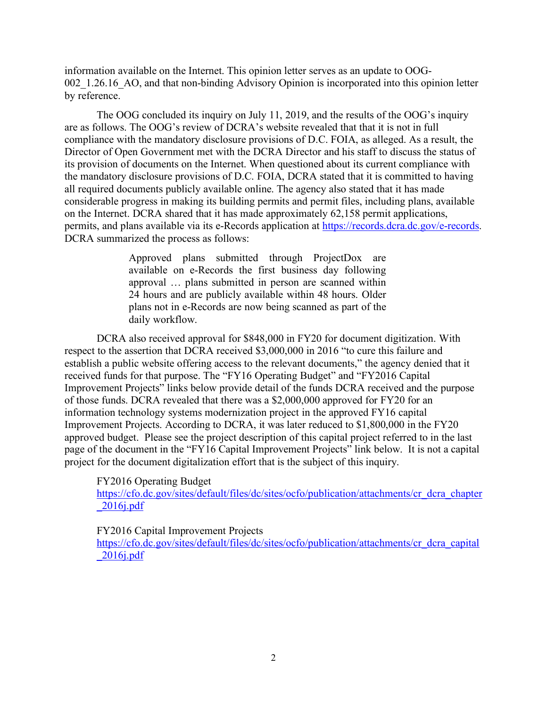information available on the Internet. This opinion letter serves as an update to OOG-002 1.26.16 AO, and that non-binding Advisory Opinion is incorporated into this opinion letter by reference.

The OOG concluded its inquiry on July 11, 2019, and the results of the OOG's inquiry are as follows. The OOG's review of DCRA's website revealed that that it is not in full compliance with the mandatory disclosure provisions of D.C. FOIA, as alleged. As a result, the Director of Open Government met with the DCRA Director and his staff to discuss the status of its provision of documents on the Internet. When questioned about its current compliance with the mandatory disclosure provisions of D.C. FOIA, DCRA stated that it is committed to having all required documents publicly available online. The agency also stated that it has made considerable progress in making its building permits and permit files, including plans, available on the Internet. DCRA shared that it has made approximately 62,158 permit applications, permits, and plans available via its e-Records application at https://records.dcra.dc.gov/e-records. DCRA summarized the process as follows:

> Approved plans submitted through ProjectDox are available on e-Records the first business day following approval … plans submitted in person are scanned within 24 hours and are publicly available within 48 hours. Older plans not in e-Records are now being scanned as part of the daily workflow.

DCRA also received approval for \$848,000 in FY20 for document digitization. With respect to the assertion that DCRA received \$3,000,000 in 2016 "to cure this failure and establish a public website offering access to the relevant documents," the agency denied that it received funds for that purpose. The "FY16 Operating Budget" and "FY2016 Capital Improvement Projects" links below provide detail of the funds DCRA received and the purpose of those funds. DCRA revealed that there was a \$2,000,000 approved for FY20 for an information technology systems modernization project in the approved FY16 capital Improvement Projects. According to DCRA, it was later reduced to \$1,800,000 in the FY20 approved budget. Please see the project description of this capital project referred to in the last page of the document in the "FY16 Capital Improvement Projects" link below. It is not a capital project for the document digitalization effort that is the subject of this inquiry.

FY2016 Operating Budget

https://cfo.dc.gov/sites/default/files/dc/sites/ocfo/publication/attachments/cr\_dcra\_chapter \_2016j.pdf

FY2016 Capital Improvement Projects

https://cfo.dc.gov/sites/default/files/dc/sites/ocfo/publication/attachments/cr\_dcra\_capital \_2016j.pdf